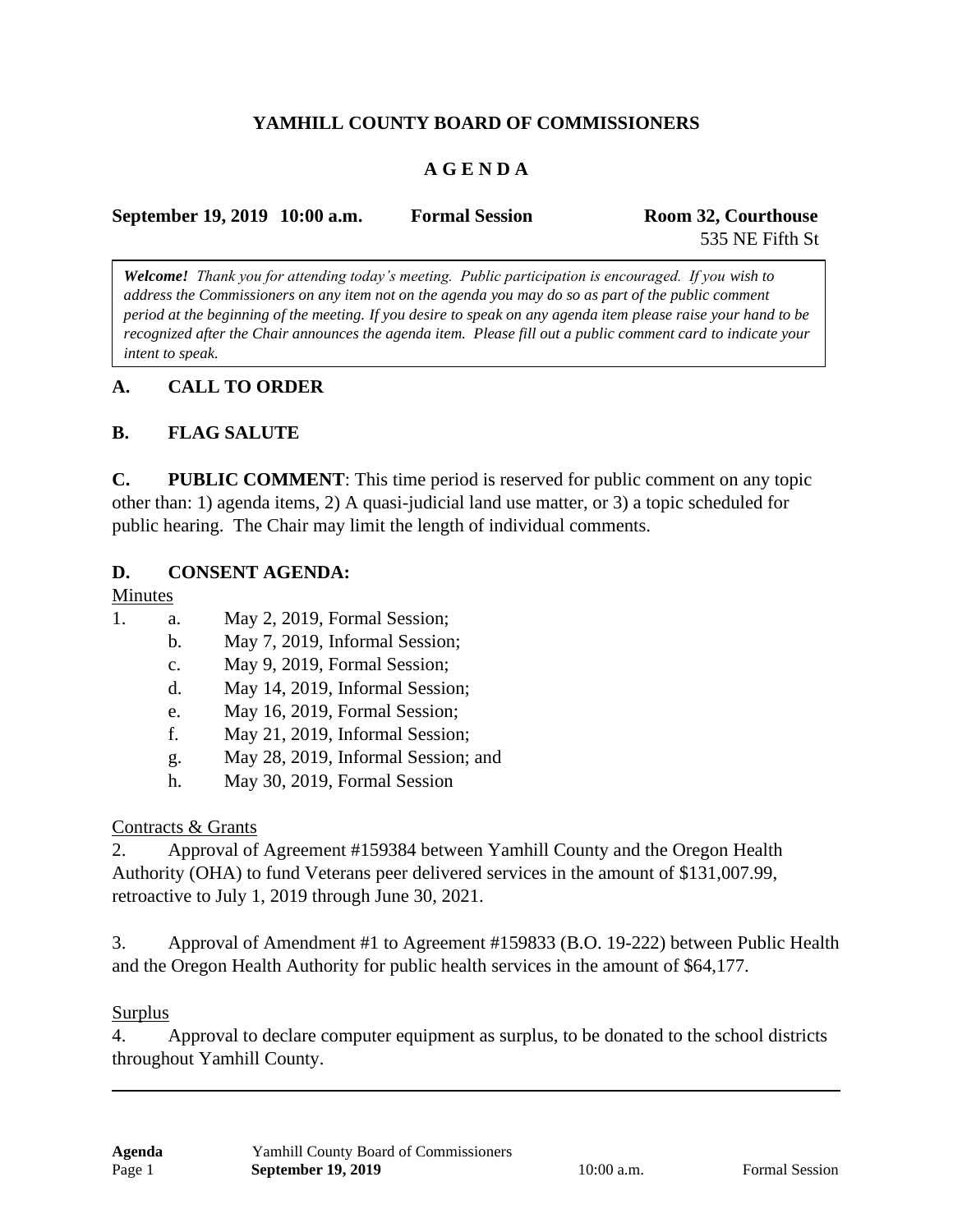# **YAMHILL COUNTY BOARD OF COMMISSIONERS**

## **A G E N D A**

| September 19, 2019 10:00 a.m. | <b>Formal Session</b> | Room 32, Courthouse |
|-------------------------------|-----------------------|---------------------|
|                               |                       | 535 NE Fifth St     |

*Welcome! Thank you for attending today's meeting. Public participation is encouraged. If you wish to address the Commissioners on any item not on the agenda you may do so as part of the public comment period at the beginning of the meeting. If you desire to speak on any agenda item please raise your hand to be recognized after the Chair announces the agenda item. Please fill out a public comment card to indicate your intent to speak.*

### **A. CALL TO ORDER**

#### **B. FLAG SALUTE**

**C. PUBLIC COMMENT**: This time period is reserved for public comment on any topic other than: 1) agenda items, 2) A quasi-judicial land use matter, or 3) a topic scheduled for public hearing. The Chair may limit the length of individual comments.

#### **D. CONSENT AGENDA:**

#### Minutes

- 1. a. May 2, 2019, Formal Session;
	- b. May 7, 2019, Informal Session;
	- c. May 9, 2019, Formal Session;
	- d. May 14, 2019, Informal Session;
	- e. May 16, 2019, Formal Session;
	- f. May 21, 2019, Informal Session;
	- g. May 28, 2019, Informal Session; and
	- h. May 30, 2019, Formal Session

### Contracts & Grants

2. Approval of Agreement #159384 between Yamhill County and the Oregon Health Authority (OHA) to fund Veterans peer delivered services in the amount of \$131,007.99, retroactive to July 1, 2019 through June 30, 2021.

3. Approval of Amendment #1 to Agreement #159833 (B.O. 19-222) between Public Health and the Oregon Health Authority for public health services in the amount of \$64,177.

#### Surplus

4. Approval to declare computer equipment as surplus, to be donated to the school districts throughout Yamhill County.